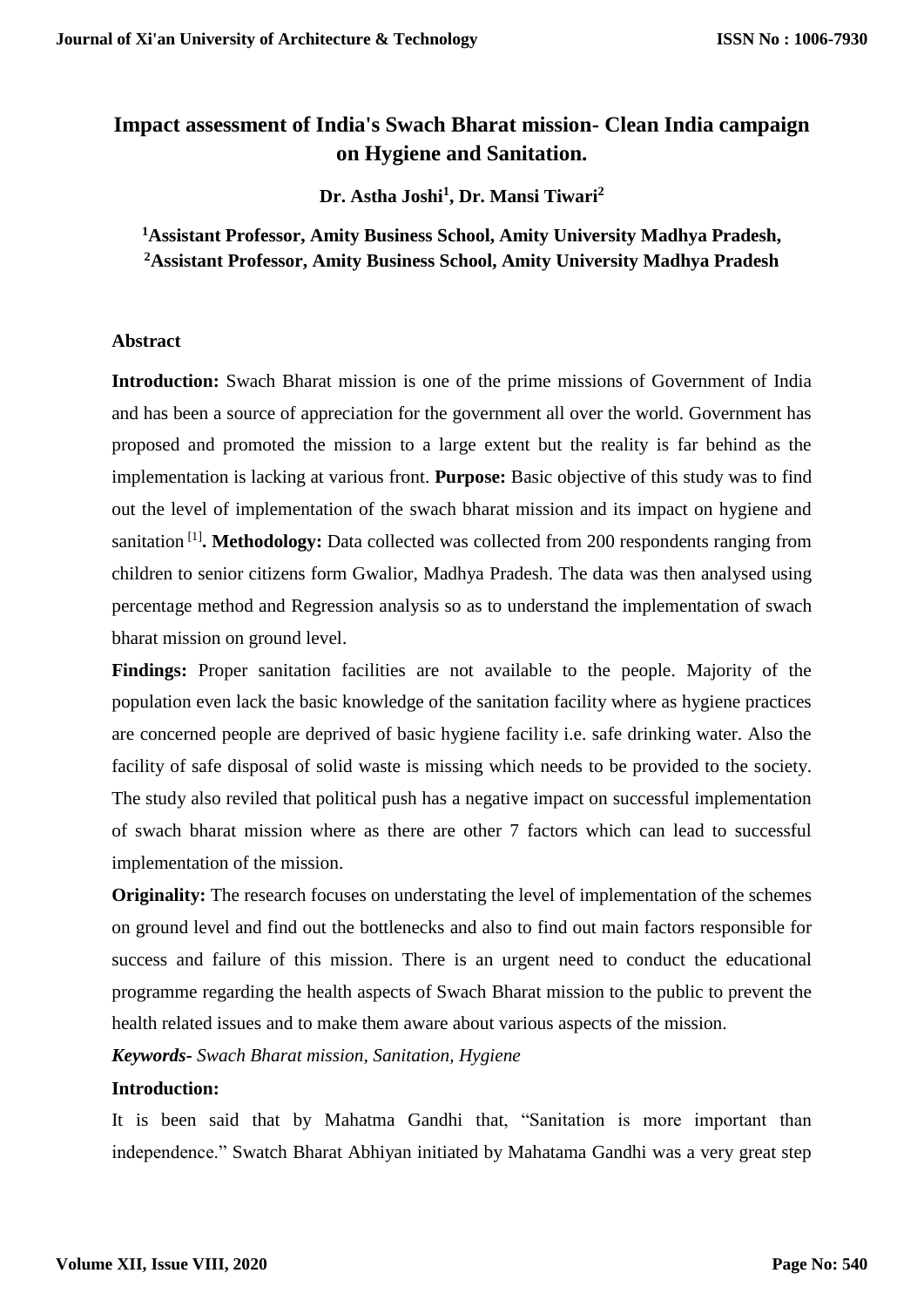# **Impact assessment of India's Swach Bharat mission- Clean India campaign on Hygiene and Sanitation.**

**Dr. Astha Joshi<sup>1</sup> , Dr. Mansi Tiwari<sup>2</sup>**

**<sup>1</sup>Assistant Professor, Amity Business School, Amity University Madhya Pradesh, <sup>2</sup>Assistant Professor, Amity Business School, Amity University Madhya Pradesh**

## **Abstract**

**Introduction:** Swach Bharat mission is one of the prime missions of Government of India and has been a source of appreciation for the government all over the world. Government has proposed and promoted the mission to a large extent but the reality is far behind as the implementation is lacking at various front. **Purpose:** Basic objective of this study was to find out the level of implementation of the swach bharat mission and its impact on hygiene and sanitation<sup>[1]</sup>. Methodology: Data collected was collected from 200 respondents ranging from children to senior citizens form Gwalior, Madhya Pradesh. The data was then analysed using percentage method and Regression analysis so as to understand the implementation of swach bharat mission on ground level.

**Findings:** Proper sanitation facilities are not available to the people. Majority of the population even lack the basic knowledge of the sanitation facility where as hygiene practices are concerned people are deprived of basic hygiene facility i.e. safe drinking water. Also the facility of safe disposal of solid waste is missing which needs to be provided to the society. The study also reviled that political push has a negative impact on successful implementation of swach bharat mission where as there are other 7 factors which can lead to successful implementation of the mission.

**Originality:** The research focuses on understating the level of implementation of the schemes on ground level and find out the bottlenecks and also to find out main factors responsible for success and failure of this mission. There is an urgent need to conduct the educational programme regarding the health aspects of Swach Bharat mission to the public to prevent the health related issues and to make them aware about various aspects of the mission.

*Keywords- Swach Bharat mission, Sanitation, Hygiene*

# **Introduction:**

It is been said that by Mahatma Gandhi that, "Sanitation is more important than independence." Swatch Bharat Abhiyan initiated by Mahatama Gandhi was a very great step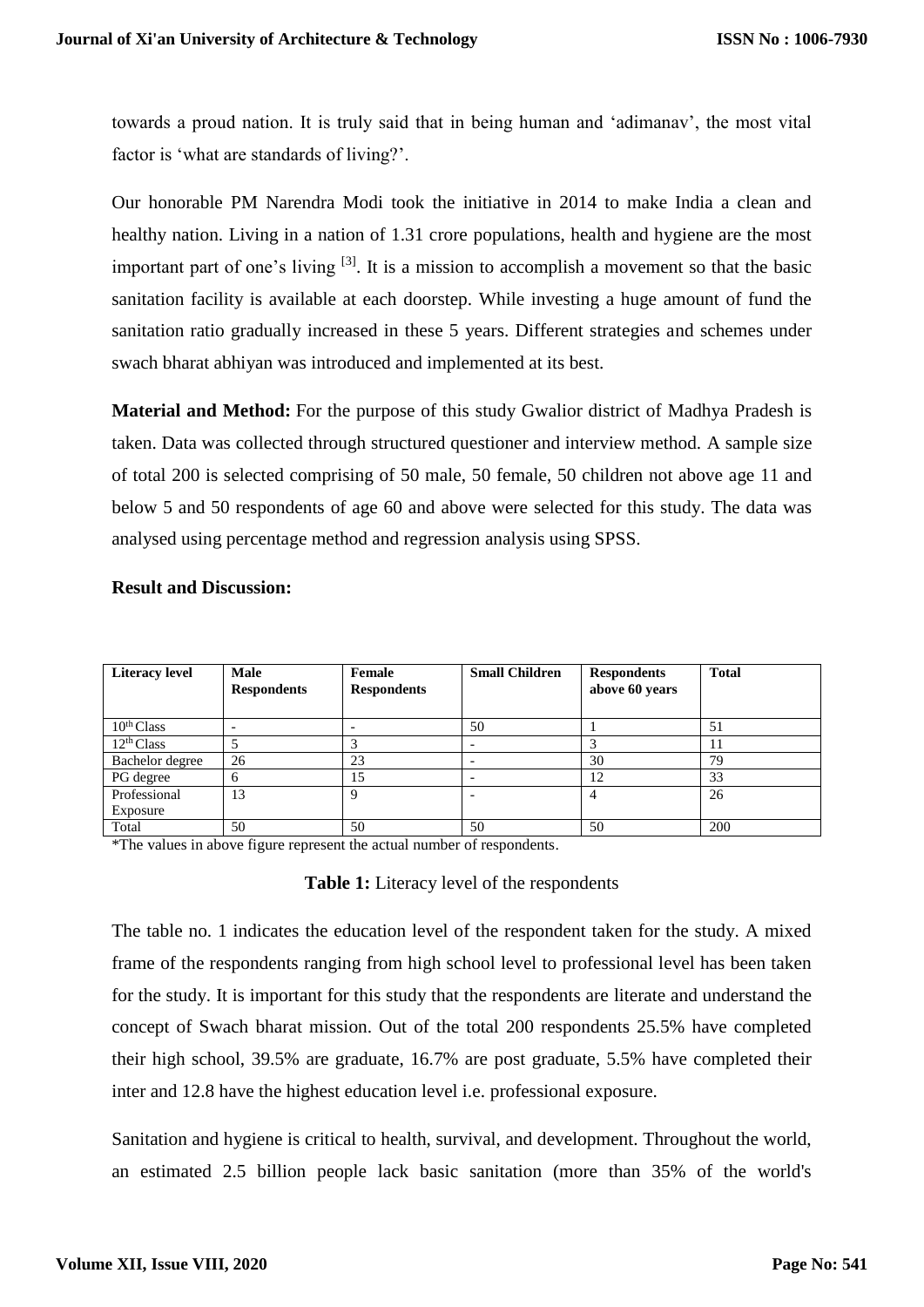towards a proud nation. It is truly said that in being human and 'adimanav', the most vital factor is 'what are standards of living?'.

Our honorable PM Narendra Modi took the initiative in 2014 to make India a clean and healthy nation. Living in a nation of 1.31 crore populations, health and hygiene are the most important part of one's living  $[3]$ . It is a mission to accomplish a movement so that the basic sanitation facility is available at each doorstep. While investing a huge amount of fund the sanitation ratio gradually increased in these 5 years. Different strategies and schemes under swach bharat abhiyan was introduced and implemented at its best.

**Material and Method:** For the purpose of this study Gwalior district of Madhya Pradesh is taken. Data was collected through structured questioner and interview method. A sample size of total 200 is selected comprising of 50 male, 50 female, 50 children not above age 11 and below 5 and 50 respondents of age 60 and above were selected for this study. The data was analysed using percentage method and regression analysis using SPSS.

| <b>Literacy level</b>  | Male<br><b>Respondents</b> | Female<br><b>Respondents</b> | <b>Small Children</b> | <b>Respondents</b><br>above 60 years | <b>Total</b> |
|------------------------|----------------------------|------------------------------|-----------------------|--------------------------------------|--------------|
| $10^{th}$ Class        |                            |                              | 50                    |                                      | 51           |
| 12 <sup>th</sup> Class |                            |                              |                       |                                      |              |
| Bachelor degree        | 26                         | 23                           |                       | 30                                   | 79           |
| PG degree              |                            | 15                           |                       | 12                                   | 33           |
| Professional           | 13                         | Q                            |                       |                                      | 26           |
| Exposure               |                            |                              |                       |                                      |              |
| Total                  | 50                         | 50                           | 50                    | 50                                   | 200          |

## **Result and Discussion:**

\*The values in above figure represent the actual number of respondents.

## **Table 1:** Literacy level of the respondents

The table no. 1 indicates the education level of the respondent taken for the study. A mixed frame of the respondents ranging from high school level to professional level has been taken for the study. It is important for this study that the respondents are literate and understand the concept of Swach bharat mission. Out of the total 200 respondents 25.5% have completed their high school, 39.5% are graduate, 16.7% are post graduate, 5.5% have completed their inter and 12.8 have the highest education level i.e. professional exposure.

Sanitation and hygiene is critical to health, survival, and development. Throughout the world, an estimated 2.5 billion people lack basic sanitation (more than 35% of the world's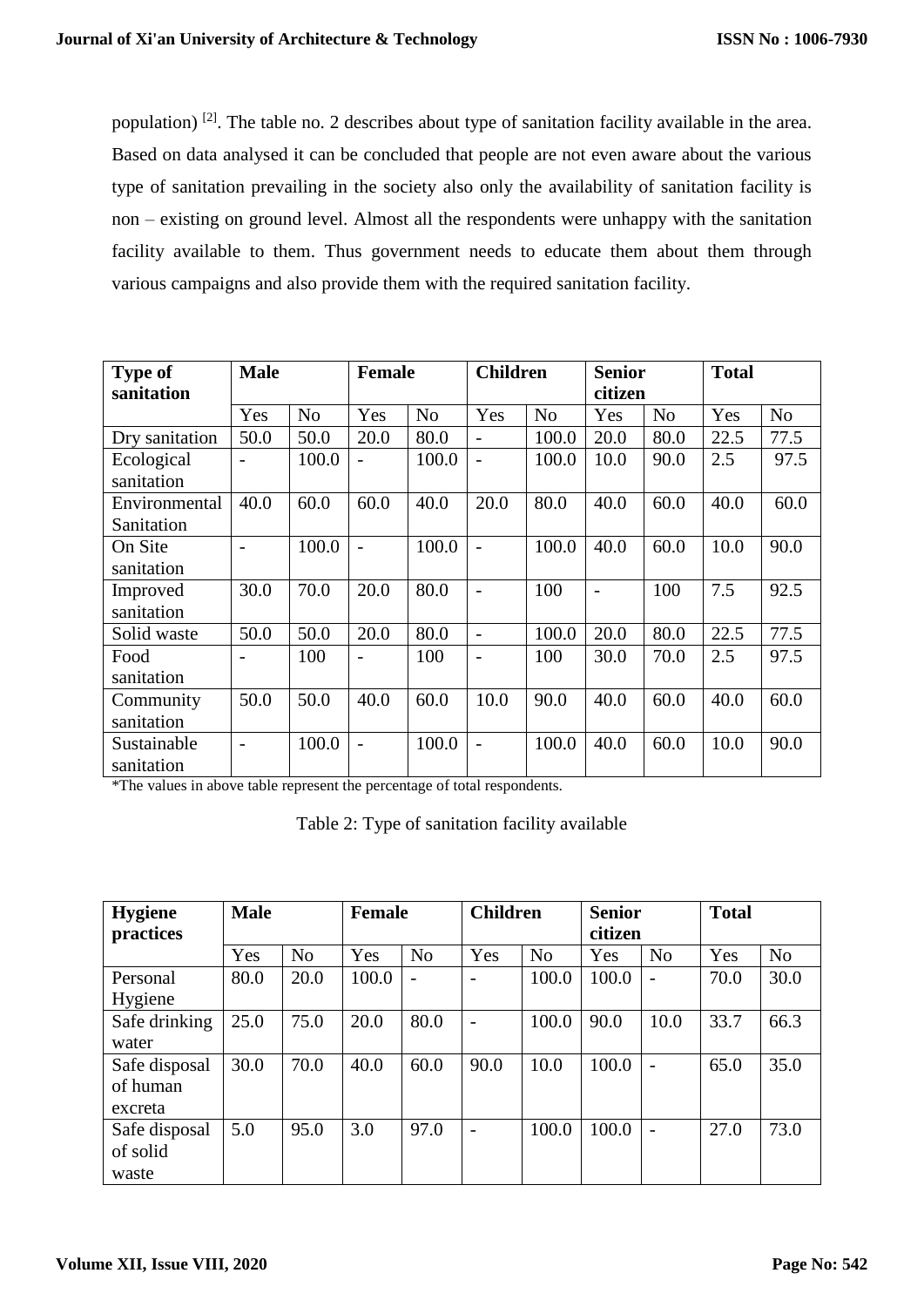population)<sup>[2]</sup>. The table no. 2 describes about type of sanitation facility available in the area. Based on data analysed it can be concluded that people are not even aware about the various type of sanitation prevailing in the society also only the availability of sanitation facility is non – existing on ground level. Almost all the respondents were unhappy with the sanitation facility available to them. Thus government needs to educate them about them through various campaigns and also provide them with the required sanitation facility.

| <b>Type of</b> | <b>Male</b>              |                |      | <b>Female</b>  |                | <b>Children</b> |         | <b>Senior</b>  | <b>Total</b> |                |
|----------------|--------------------------|----------------|------|----------------|----------------|-----------------|---------|----------------|--------------|----------------|
| sanitation     |                          |                |      |                |                |                 | citizen |                |              |                |
|                | Yes                      | N <sub>o</sub> | Yes  | N <sub>o</sub> | Yes            | N <sub>o</sub>  | Yes     | N <sub>o</sub> | Yes          | N <sub>o</sub> |
| Dry sanitation | 50.0                     | 50.0           | 20.0 | 80.0           |                | 100.0           | 20.0    | 80.0           | 22.5         | 77.5           |
| Ecological     | $\overline{\phantom{0}}$ | 100.0          |      | 100.0          | $\overline{a}$ | 100.0           | 10.0    | 90.0           | 2.5          | 97.5           |
| sanitation     |                          |                |      |                |                |                 |         |                |              |                |
| Environmental  | 40.0                     | 60.0           | 60.0 | 40.0           | 20.0           | 80.0            | 40.0    | 60.0           | 40.0         | 60.0           |
| Sanitation     |                          |                |      |                |                |                 |         |                |              |                |
| On Site        | $\overline{\phantom{0}}$ | 100.0          |      | 100.0          |                | 100.0           | 40.0    | 60.0           | 10.0         | 90.0           |
| sanitation     |                          |                |      |                |                |                 |         |                |              |                |
| Improved       | 30.0                     | 70.0           | 20.0 | 80.0           |                | 100             |         | 100            | 7.5          | 92.5           |
| sanitation     |                          |                |      |                |                |                 |         |                |              |                |
| Solid waste    | 50.0                     | 50.0           | 20.0 | 80.0           | $\overline{a}$ | 100.0           | 20.0    | 80.0           | 22.5         | 77.5           |
| Food           |                          | 100            |      | 100            | $\overline{a}$ | 100             | 30.0    | 70.0           | 2.5          | 97.5           |
| sanitation     |                          |                |      |                |                |                 |         |                |              |                |
| Community      | 50.0                     | 50.0           | 40.0 | 60.0           | 10.0           | 90.0            | 40.0    | 60.0           | 40.0         | 60.0           |
| sanitation     |                          |                |      |                |                |                 |         |                |              |                |
| Sustainable    | $\overline{\phantom{0}}$ | 100.0          |      | 100.0          | $\overline{a}$ | 100.0           | 40.0    | 60.0           | 10.0         | 90.0           |
| sanitation     |                          |                |      |                |                |                 |         |                |              |                |

\*The values in above table represent the percentage of total respondents.

|  |  | Table 2: Type of sanitation facility available |  |  |
|--|--|------------------------------------------------|--|--|
|--|--|------------------------------------------------|--|--|

| <b>Hygiene</b> | <b>Male</b> |                | <b>Female</b> |                | <b>Children</b>          |                | <b>Senior</b> |                | <b>Total</b> |                |
|----------------|-------------|----------------|---------------|----------------|--------------------------|----------------|---------------|----------------|--------------|----------------|
| practices      |             |                |               |                |                          |                | citizen       |                |              |                |
|                | Yes         | N <sub>o</sub> | Yes           | N <sub>o</sub> | Yes                      | N <sub>o</sub> | Yes           | N <sub>o</sub> | Yes          | N <sub>o</sub> |
| Personal       | 80.0        | 20.0           | 100.0         | $\overline{a}$ | $\overline{\phantom{a}}$ | 100.0          | 100.0         |                | 70.0         | 30.0           |
| Hygiene        |             |                |               |                |                          |                |               |                |              |                |
| Safe drinking  | 25.0        | 75.0           | 20.0          | 80.0           | $\overline{\phantom{a}}$ | 100.0          | 90.0          | 10.0           | 33.7         | 66.3           |
| water          |             |                |               |                |                          |                |               |                |              |                |
| Safe disposal  | 30.0        | 70.0           | 40.0          | 60.0           | 90.0                     | 10.0           | 100.0         |                | 65.0         | 35.0           |
| of human       |             |                |               |                |                          |                |               |                |              |                |
| excreta        |             |                |               |                |                          |                |               |                |              |                |
| Safe disposal  | 5.0         | 95.0           | 3.0           | 97.0           | $\overline{\phantom{a}}$ | 100.0          | 100.0         |                | 27.0         | 73.0           |
| of solid       |             |                |               |                |                          |                |               |                |              |                |
| waste          |             |                |               |                |                          |                |               |                |              |                |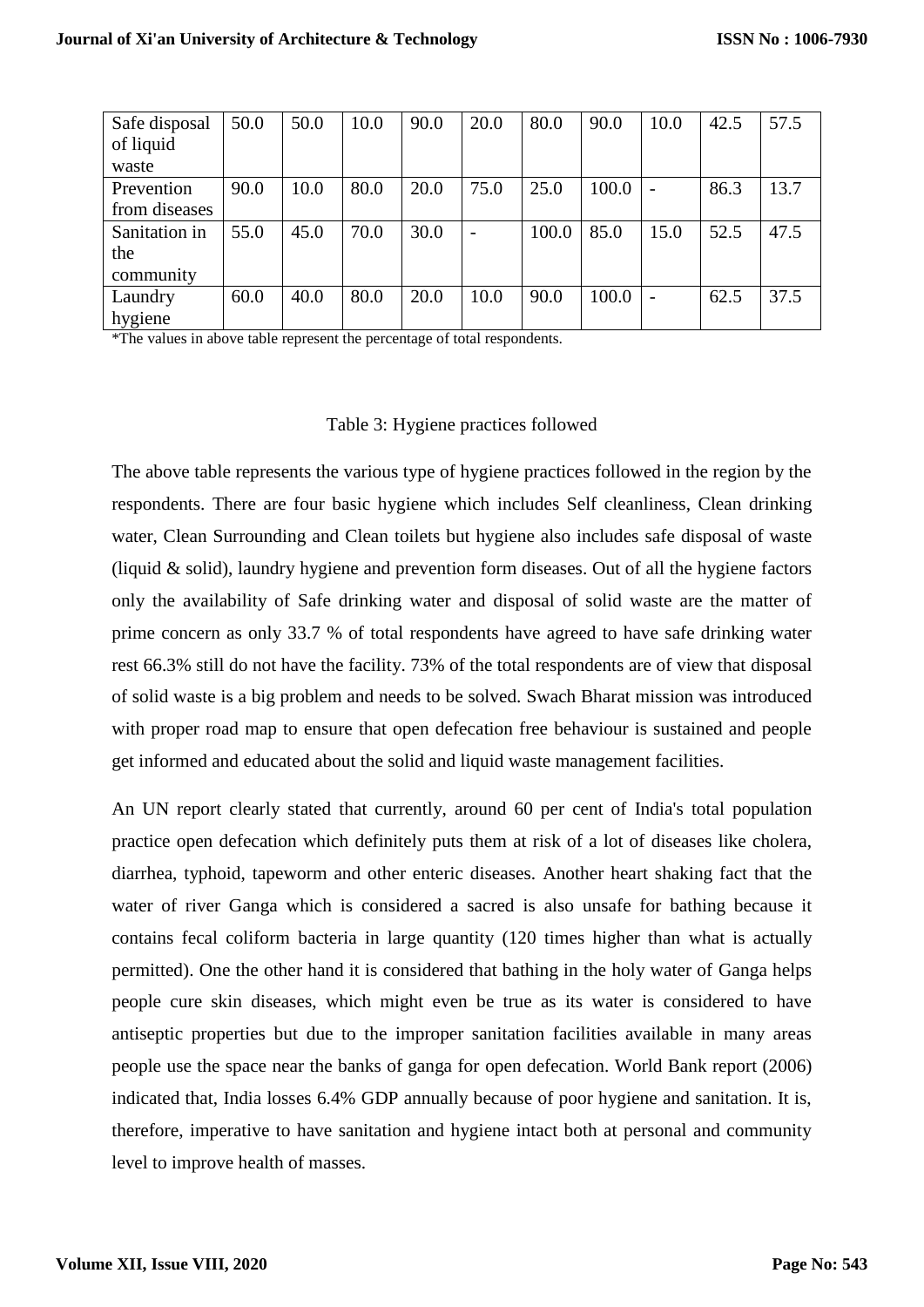| Safe disposal | 50.0 | 50.0 | 10.0 | 90.0 | 20.0 | 80.0  | 90.0  | 10.0                     | 42.5 | 57.5 |
|---------------|------|------|------|------|------|-------|-------|--------------------------|------|------|
| of liquid     |      |      |      |      |      |       |       |                          |      |      |
| waste         |      |      |      |      |      |       |       |                          |      |      |
| Prevention    | 90.0 | 10.0 | 80.0 | 20.0 | 75.0 | 25.0  | 100.0 | $\overline{\phantom{0}}$ | 86.3 | 13.7 |
| from diseases |      |      |      |      |      |       |       |                          |      |      |
| Sanitation in | 55.0 | 45.0 | 70.0 | 30.0 |      | 100.0 | 85.0  | 15.0                     | 52.5 | 47.5 |
| the           |      |      |      |      |      |       |       |                          |      |      |
| community     |      |      |      |      |      |       |       |                          |      |      |
| Laundry       | 60.0 | 40.0 | 80.0 | 20.0 | 10.0 | 90.0  | 100.0 | $\overline{\phantom{0}}$ | 62.5 | 37.5 |
| hygiene       |      |      |      |      |      |       |       |                          |      |      |

\*The values in above table represent the percentage of total respondents.

#### Table 3: Hygiene practices followed

The above table represents the various type of hygiene practices followed in the region by the respondents. There are four basic hygiene which includes Self cleanliness, Clean drinking water, Clean Surrounding and Clean toilets but hygiene also includes safe disposal of waste (liquid & solid), laundry hygiene and prevention form diseases. Out of all the hygiene factors only the availability of Safe drinking water and disposal of solid waste are the matter of prime concern as only 33.7 % of total respondents have agreed to have safe drinking water rest 66.3% still do not have the facility. 73% of the total respondents are of view that disposal of solid waste is a big problem and needs to be solved. Swach Bharat mission was introduced with proper road map to ensure that open defecation free behaviour is sustained and people get informed and educated about the solid and liquid waste management facilities.

An UN report clearly stated that currently, around 60 per cent of India's total population practice open defecation which definitely puts them at risk of a lot of diseases like cholera, diarrhea, typhoid, tapeworm and other enteric diseases. Another heart shaking fact that the water of river Ganga which is considered a sacred is also unsafe for bathing because it contains fecal coliform bacteria in large quantity (120 times higher than what is actually permitted). One the other hand it is considered that bathing in the holy water of Ganga helps people cure skin diseases, which might even be true as its water is considered to have antiseptic properties but due to the improper sanitation facilities available in many areas people use the space near the banks of ganga for open defecation. World Bank report (2006) indicated that, India losses 6.4% GDP annually because of poor hygiene and sanitation. It is, therefore, imperative to have sanitation and hygiene intact both at personal and community level to improve health of masses.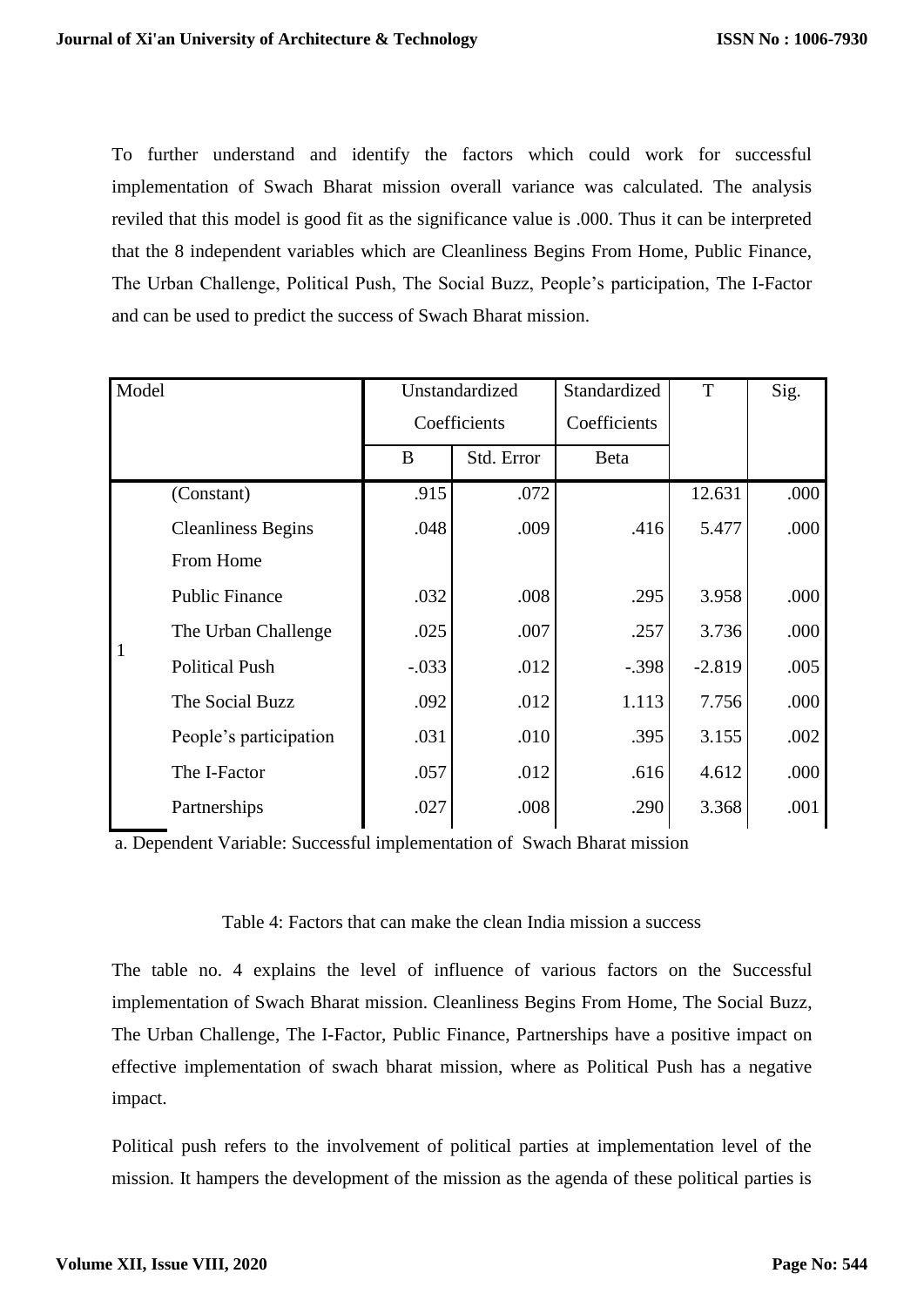To further understand and identify the factors which could work for successful implementation of Swach Bharat mission overall variance was calculated. The analysis reviled that this model is good fit as the significance value is .000. Thus it can be interpreted that the 8 independent variables which are Cleanliness Begins From Home, Public Finance, The Urban Challenge, Political Push, The Social Buzz, People's participation, The I-Factor and can be used to predict the success of Swach Bharat mission.

| Model |                           |         | Unstandardized | Standardized | T        | Sig. |
|-------|---------------------------|---------|----------------|--------------|----------|------|
|       |                           |         | Coefficients   | Coefficients |          |      |
|       |                           | B       | Std. Error     | <b>Beta</b>  |          |      |
|       | (Constant)                | .915    | .072           |              | 12.631   | .000 |
|       | <b>Cleanliness Begins</b> | .048    | .009           | .416         | 5.477    | .000 |
|       | From Home                 |         |                |              |          |      |
|       | <b>Public Finance</b>     | .032    | .008           | .295         | 3.958    | .000 |
|       | The Urban Challenge       | .025    | .007           | .257         | 3.736    | .000 |
| 1     | <b>Political Push</b>     | $-.033$ | .012           | $-.398$      | $-2.819$ | .005 |
|       | The Social Buzz           | .092    | .012           | 1.113        | 7.756    | .000 |
|       | People's participation    | .031    | .010           | .395         | 3.155    | .002 |
|       | The I-Factor              | .057    | .012           | .616         | 4.612    | .000 |
|       | Partnerships              | .027    | .008           | .290         | 3.368    | .001 |

a. Dependent Variable: Successful implementation of Swach Bharat mission

#### Table 4: Factors that can make the clean India mission a success

The table no. 4 explains the level of influence of various factors on the Successful implementation of Swach Bharat mission. Cleanliness Begins From Home, The Social Buzz, The Urban Challenge, The I-Factor, Public Finance, Partnerships have a positive impact on effective implementation of swach bharat mission, where as Political Push has a negative impact.

Political push refers to the involvement of political parties at implementation level of the mission. It hampers the development of the mission as the agenda of these political parties is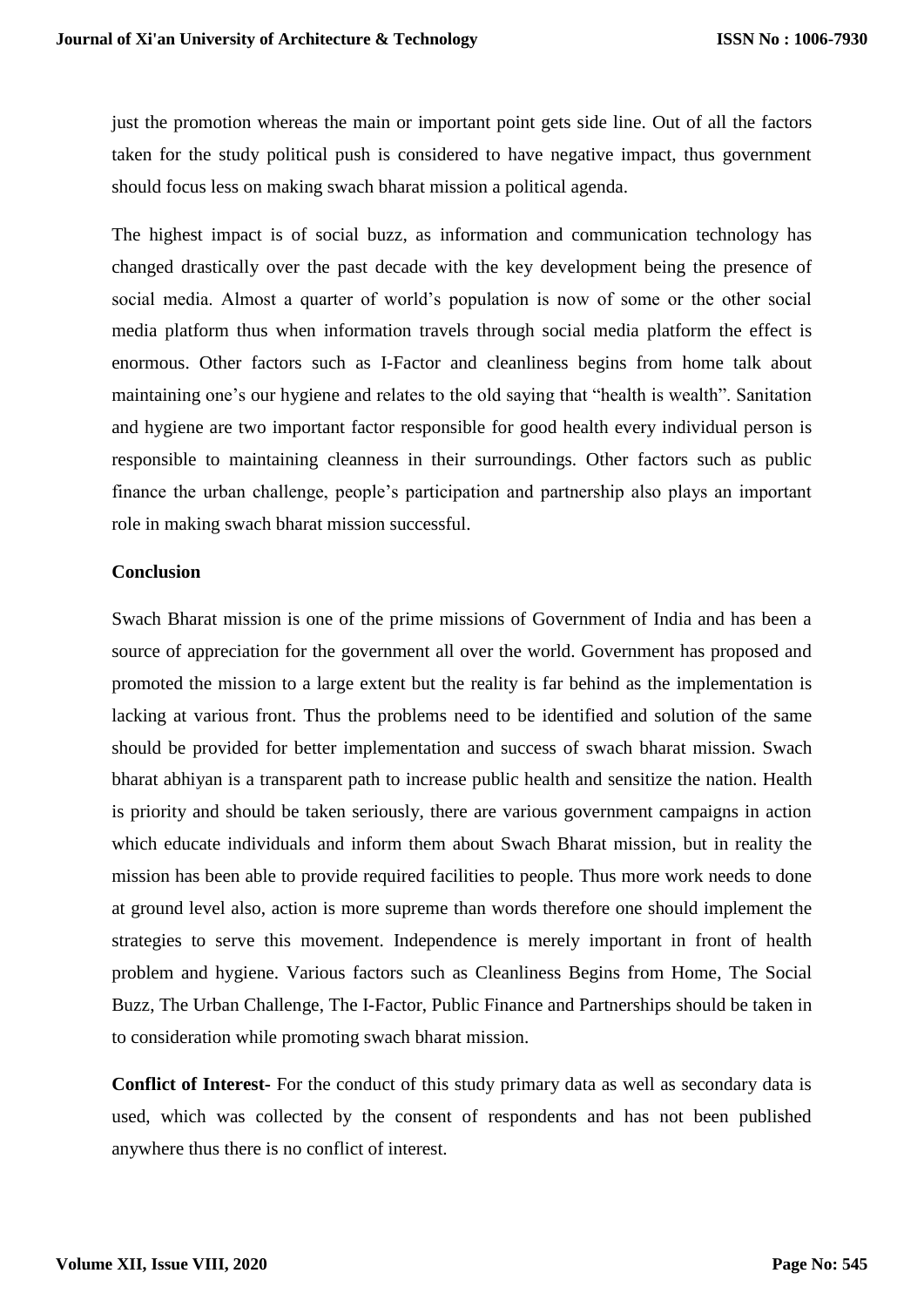just the promotion whereas the main or important point gets side line. Out of all the factors taken for the study political push is considered to have negative impact, thus government should focus less on making swach bharat mission a political agenda.

The highest impact is of social buzz, as information and communication technology has changed drastically over the past decade with the key development being the presence of social media. Almost a quarter of world's population is now of some or the other social media platform thus when information travels through social media platform the effect is enormous. Other factors such as I-Factor and cleanliness begins from home talk about maintaining one's our hygiene and relates to the old saying that "health is wealth". Sanitation and hygiene are two important factor responsible for good health every individual person is responsible to maintaining cleanness in their surroundings. Other factors such as public finance the urban challenge, people's participation and partnership also plays an important role in making swach bharat mission successful.

#### **Conclusion**

Swach Bharat mission is one of the prime missions of Government of India and has been a source of appreciation for the government all over the world. Government has proposed and promoted the mission to a large extent but the reality is far behind as the implementation is lacking at various front. Thus the problems need to be identified and solution of the same should be provided for better implementation and success of swach bharat mission. Swach bharat abhiyan is a transparent path to increase public health and sensitize the nation. Health is priority and should be taken seriously, there are various government campaigns in action which educate individuals and inform them about Swach Bharat mission, but in reality the mission has been able to provide required facilities to people. Thus more work needs to done at ground level also, action is more supreme than words therefore one should implement the strategies to serve this movement. Independence is merely important in front of health problem and hygiene. Various factors such as Cleanliness Begins from Home, The Social Buzz, The Urban Challenge, The I-Factor, Public Finance and Partnerships should be taken in to consideration while promoting swach bharat mission.

**Conflict of Interest-** For the conduct of this study primary data as well as secondary data is used, which was collected by the consent of respondents and has not been published anywhere thus there is no conflict of interest.